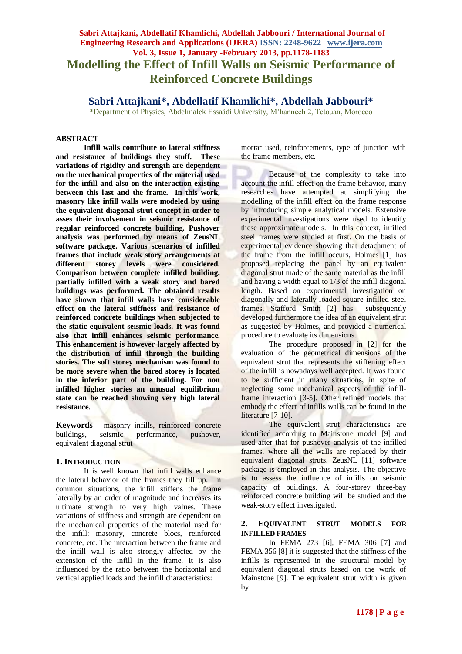# **Sabri Attajkani, Abdellatif Khamlichi, Abdellah Jabbouri / International Journal of Engineering Research and Applications (IJERA) ISSN: 2248-9622 www.ijera.com Vol. 3, Issue 1, January -February 2013, pp.1178-1183 Modelling the Effect of Infill Walls on Seismic Performance of Reinforced Concrete Buildings**

# **Sabri Attajkani\*, Abdellatif Khamlichi\*, Abdellah Jabbouri\***

\*Department of Physics, Abdelmalek Essaâdi University, M'hannech 2, Tetouan, Morocco

#### **ABSTRACT**

**Infill walls contribute to lateral stiffness and resistance of buildings they stuff. These variations of rigidity and strength are dependent on the mechanical properties of the material used for the infill and also on the interaction existing between this last and the frame. In this work, masonry like infill walls were modeled by using the equivalent diagonal strut concept in order to asses their involvement in seismic resistance of regular reinforced concrete building. Pushover analysis was performed by means of ZeusNL software package. Various scenarios of infilled frames that include weak story arrangements at different storey levels were considered. Comparison between complete infilled building, partially infilled with a weak story and bared buildings was performed. The obtained results have shown that infill walls have considerable effect on the lateral stiffness and resistance of reinforced concrete buildings when subjected to the static equivalent seismic loads. It was found also that infill enhances seismic performance. This enhancement is however largely affected by the distribution of infill through the building stories. The soft storey mechanism was found to be more severe when the bared storey is located in the inferior part of the building. For non infilled higher stories an unusual equilibrium state can be reached showing very high lateral resistance.**

**Keywords -** masonry infills, reinforced concrete buildings, seismic performance, pushover, equivalent diagonal strut

#### **1. INTRODUCTION**

It is well known that infill walls enhance the lateral behavior of the frames they fill up. In common situations, the infill stiffens the frame laterally by an order of magnitude and increases its ultimate strength to very high values. These variations of stiffness and strength are dependent on the mechanical properties of the material used for the infill: masonry, concrete blocs, reinforced concrete, etc. The interaction between the frame and the infill wall is also strongly affected by the extension of the infill in the frame. It is also influenced by the ratio between the horizontal and vertical applied loads and the infill characteristics:

mortar used, reinforcements, type of junction with the frame members, etc.

Because of the complexity to take into account the infill effect on the frame behavior, many researches have attempted at simplifying the modelling of the infill effect on the frame response by introducing simple analytical models. Extensive experimental investigations were used to identify these approximate models. In this context, infilled steel frames were studied at first. On the basis of experimental evidence showing that detachment of the frame from the infill occurs, Holmes [1] has proposed replacing the panel by an equivalent diagonal strut made of the same material as the infill and having a width equal to 1/3 of the infill diagonal length. Based on experimental investigation on diagonally and laterally loaded square infilled steel frames, Stafford Smith [2] has subsequently developed furthermore the idea of an equivalent strut as suggested by Holmes, and provided a numerical procedure to evaluate its dimensions.

The procedure proposed in [2] for the evaluation of the geometrical dimensions of the equivalent strut that represents the stiffening effect of the infill is nowadays well accepted. It was found to be sufficient in many situations, in spite of neglecting some mechanical aspects of the infillframe interaction [3-5]. Other refined models that embody the effect of infills walls can be found in the literature [7-10].

The equivalent strut characteristics are identified according to Mainstone model [9] and used after that for pushover analysis of the infilled frames, where all the walls are replaced by their equivalent diagonal struts. ZeusNL [11] software package is employed in this analysis. The objective is to assess the influence of infills on seismic capacity of buildings. A four-storey three-bay reinforced concrete building will be studied and the weak-story effect investigated.

### **2. EQUIVALENT STRUT MODELS FOR INFILLED FRAMES**

In FEMA 273 [6], FEMA 306 [7] and FEMA 356 [8] it is suggested that the stiffness of the infills is represented in the structural model by equivalent diagonal struts based on the work of Mainstone [9]. The equivalent strut width is given by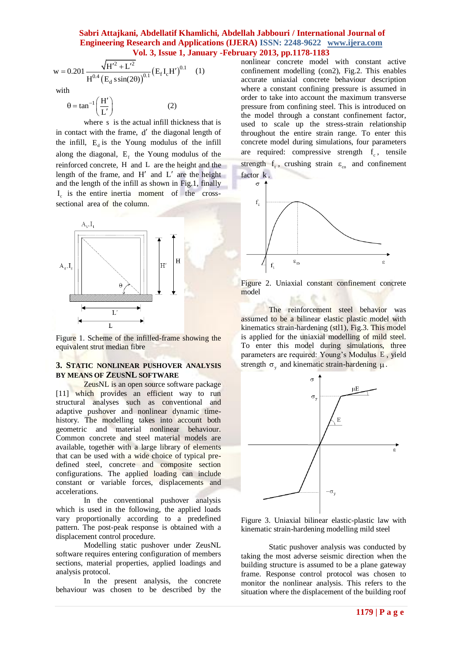$$
w = 0.201 \frac{\sqrt{H'^2 + L'^2}}{H^{0.4} (E_d \sin(2\theta))^{0.1}} (E_f I_c H')^{0.1}
$$
 (1)

with

$$
\theta = \tan^{-1}\left(\frac{H'}{L'}\right)
$$

where s is the actual infill thickness that is in contact with the frame, d' the diagonal length of the infill,  $E_d$  is the Young modulus of the infill along the diagonal,  $E_f$  the Young modulus of the reinforced concrete, H and L are the height and the length of the frame, and  $H'$  and  $L'$  are the height and the length of the infill as shown in Fig.1, finally I<sub>c</sub> is the entire inertia moment of the crosssectional area of the column.

(2)



Figure 1. Scheme of the infilled-frame showing the equivalent strut median fibre

## **3. STATIC NONLINEAR PUSHOVER ANALYSIS BY MEANS OF ZEUSNL SOFTWARE**

ZeusNL is an open source software package [11] which provides an efficient way to run structural analyses such as conventional and adaptive pushover and nonlinear dynamic timehistory. The modelling takes into account both geometric and material nonlinear behaviour. Common concrete and steel material models are available, together with a large library of elements that can be used with a wide choice of typical predefined steel, concrete and composite section configurations. The applied loading can include constant or variable forces, displacements and accelerations.

In the conventional pushover analysis which is used in the following, the applied loads vary proportionally according to a predefined pattern. The post-peak response is obtained with a displacement control procedure.

Modelling static pushover under ZeusNL software requires entering configuration of members sections, material properties, applied loadings and analysis protocol.

In the present analysis, the concrete behaviour was chosen to be described by the nonlinear concrete model with constant active confinement modelling (con2), Fig.2. This enables accurate uniaxial concrete behaviour description where a constant confining pressure is assumed in order to take into account the maximum transverse pressure from confining steel. This is introduced on the model through a constant confinement factor, used to scale up the stress-strain relationship throughout the entire strain range. To enter this concrete model during simulations, four parameters are required: compressive strength  $f_c$ , tensile strength  $f_t$ , crushing strain  $\varepsilon_{\rm co}$  and confinement factor k.



Figure 2. Uniaxial constant confinement concrete model

The reinforcement steel behavior was assumed to be a bilinear elastic plastic model with kinematics strain-hardening (stl1), Fig.3. This model is applied for the uniaxial modelling of mild steel. To enter this model during simulations, three parameters are required: Young's Modulus E, yield strength  $\sigma_y$  and kinematic strain-hardening  $\mu$ .



Figure 3. Uniaxial bilinear elastic-plastic law with kinematic strain-hardening modelling mild steel

Static pushover analysis was conducted by taking the most adverse seismic direction when the building structure is assumed to be a plane gateway frame. Response control protocol was chosen to monitor the nonlinear analysis. This refers to the situation where the displacement of the building roof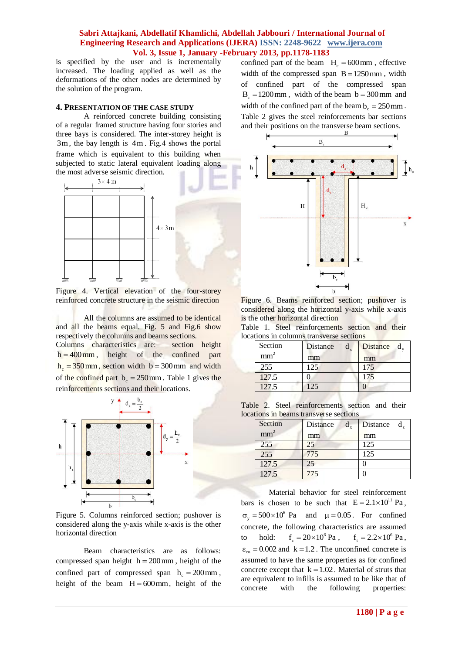is specified by the user and is incrementally increased. The loading applied as well as the deformations of the other nodes are determined by the solution of the program.

#### **4. PRESENTATION OF THE CASE STUDY**

A reinforced concrete building consisting of a regular framed structure having four stories and three bays is considered. The inter-storey height is 3m , the bay length is 4m . Fig.4 shows the portal frame which is equivalent to this building when subjected to static lateral equivalent loading along the most adverse seismic direction.



Figure 4. Vertical elevation of the four-storey reinforced concrete structure in the seismic direction

All the columns are assumed to be identical and all the beams equal. Fig. 5 and Fig.6 show respectively the columns and beams sections. Columns characteristics are: section height  $h = 400$  mm, height of the confined part  $h_c = 350$  mm, section width  $b = 300$  mm and width of the confined part  $b_c = 250$  mm. Table 1 gives the reinforcements sections and their locations.



Figure 5. Columns reinforced section; pushover is considered along the y-axis while x-axis is the other horizontal direction

Beam characteristics are as follows: compressed span height  $h = 200$  mm, height of the confined part of compressed span  $h_c = 200$  mm, height of the beam  $H = 600$  mm, height of the

confined part of the beam  $H_c = 600$  mm, effective width of the compressed span  $B = 1250$  mm, width of confined part of the compressed span  $B_c = 1200$  mm, width of the beam  $b = 300$  mm and width of the confined part of the beam  $b_c = 250$  mm. Table 2 gives the steel reinforcements bar sections and their positions on the transverse beam sections.



Figure 6. Beams reinforced section; pushover is considered along the horizontal y-axis while x-axis is the other horizontal direction

Table 1. Steel reinforcements section and their locations in columns transverse sections

| Section         | Distance | Distance d <sub>v</sub> |
|-----------------|----------|-------------------------|
| mm <sup>2</sup> | mm       | mm                      |
| 255             | 125      | 175                     |
| 127.5           |          | 175                     |
| 127.5           | 125      |                         |

Table 2. Steel reinforcements section and their locations in beams transverse sections

| Section         | Distance | Distance $d_{\tau}$ |  |  |
|-----------------|----------|---------------------|--|--|
| mm <sup>2</sup> | mm       | mm                  |  |  |
| 255             | 25       | 125                 |  |  |
| 255             | 775      | 125                 |  |  |
| 127.5           | 25       |                     |  |  |
| 127.5           | 775      |                     |  |  |
|                 |          |                     |  |  |

Material behavior for steel reinforcement bars is chosen to be such that  $E = 2.1 \times 10^{11}$  Pa,  $\sigma_y = 500 \times 10^6$  Pa and  $\mu = 0.05$ . For confined concrete, the following characteristics are assumed to hold:  $f_c = 20 \times 10^6 \text{ Pa}$ ,  $f_t = 2.2 \times 10^6 \text{ Pa}$ ,  $\varepsilon_{\rm co} = 0.002$  and  $k = 1.2$ . The unconfined concrete is assumed to have the same properties as for confined concrete except that  $k = 1.02$ . Material of struts that are equivalent to infills is assumed to be like that of concrete with the following properties: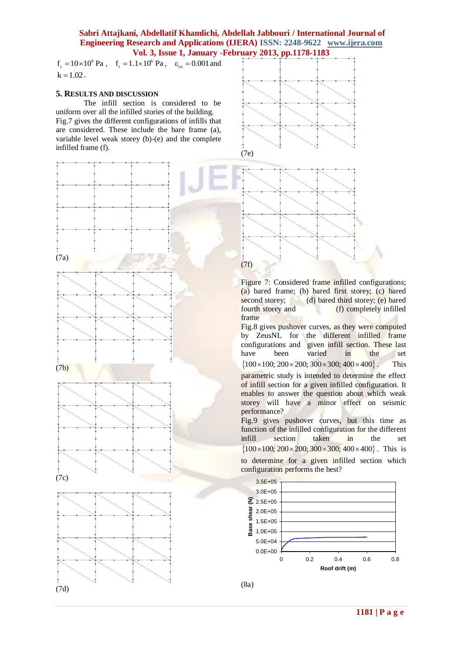$f_c = 10 \times 10^6$  Pa,  $f_t = 1.1 \times 10^6$  Pa,  $\varepsilon_{\text{co}} = 0.001$  and  $k = 1.02$ .

#### **5. RESULTS AND DISCUSSION**

The infill section is considered to be uniform over all the infilled stories of the building. Fig.7 gives the different configurations of infills that are considered. These include the bare frame (a), variable level weak storey (b)-(e) and the complete infilled frame (f).



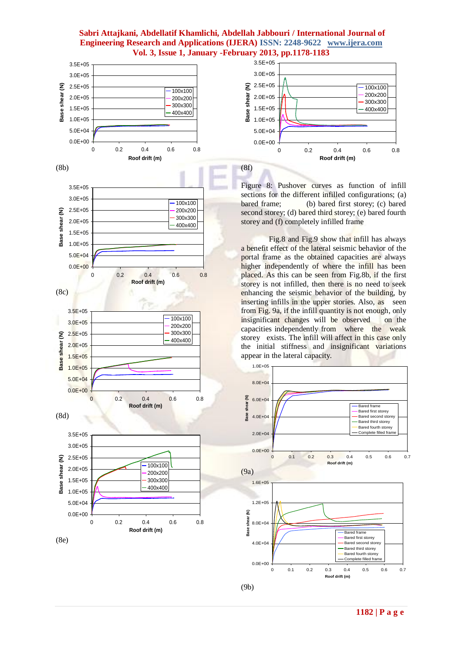





Figure 8: Pushover curves as function of infill sections for the different infilled configurations; (a) bared frame; (b) bared first storey; (c) bared second storey; (d) bared third storey; (e) bared fourth storey and (f) completely infilled frame

Fig.8 and Fig.9 show that infill has always a benefit effect of the lateral seismic behavior of the portal frame as the obtained capacities are always higher independently of where the infill has been placed. As this can be seen from Fig.8b, if the first storey is not infilled, then there is no need to seek enhancing the seismic behavior of the building, by inserting infills in the upper stories. Also, as seen from Fig. 9a, if the infill quantity is not enough, only insignificant changes will be observed on the capacities independently from where the weak storey exists. The infill will affect in this case only the initial stiffness and insignificant variations appear in the lateral capacity.